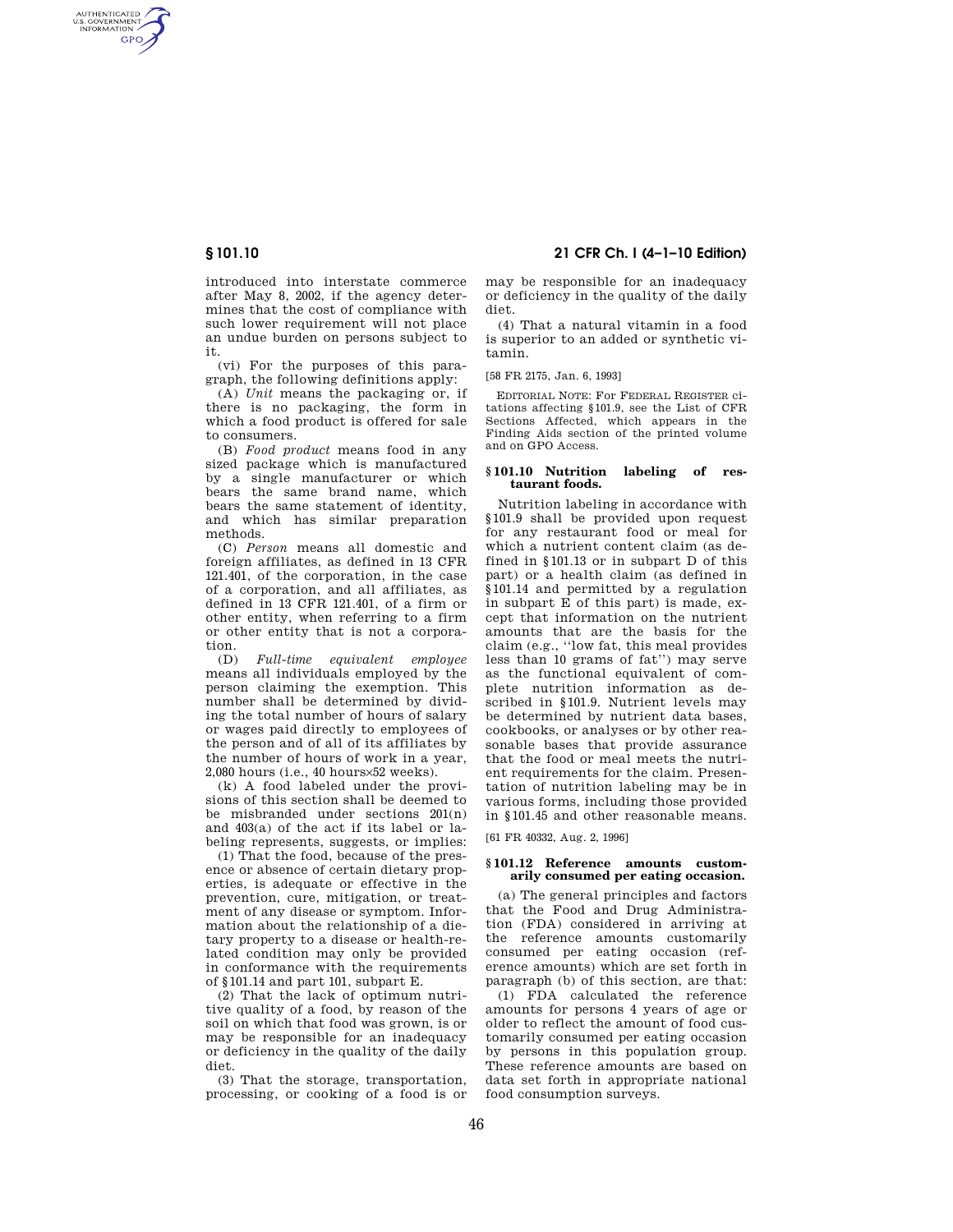AUTHENTICATED<br>U.S. GOVERNMENT<br>INFORMATION **GPO** 

> introduced into interstate commerce after May 8, 2002, if the agency determines that the cost of compliance with such lower requirement will not place an undue burden on persons subject to it.

(vi) For the purposes of this paragraph, the following definitions apply:

(A) *Unit* means the packaging or, if there is no packaging, the form in which a food product is offered for sale to consumers.

(B) *Food product* means food in any sized package which is manufactured by a single manufacturer or which bears the same brand name, which bears the same statement of identity, and which has similar preparation methods.

(C) *Person* means all domestic and foreign affiliates, as defined in 13 CFR 121.401, of the corporation, in the case of a corporation, and all affiliates, as defined in 13 CFR 121.401, of a firm or other entity, when referring to a firm or other entity that is not a corporation.

(D) *Full-time equivalent employee*  means all individuals employed by the person claiming the exemption. This number shall be determined by dividing the total number of hours of salary or wages paid directly to employees of the person and of all of its affiliates by the number of hours of work in a year, 2,080 hours (i.e., 40 hours×52 weeks).

(k) A food labeled under the provisions of this section shall be deemed to be misbranded under sections 201(n) and 403(a) of the act if its label or labeling represents, suggests, or implies:

(1) That the food, because of the presence or absence of certain dietary properties, is adequate or effective in the prevention, cure, mitigation, or treatment of any disease or symptom. Information about the relationship of a dietary property to a disease or health-related condition may only be provided in conformance with the requirements of §101.14 and part 101, subpart E.

(2) That the lack of optimum nutritive quality of a food, by reason of the soil on which that food was grown, is or may be responsible for an inadequacy or deficiency in the quality of the daily diet.

(3) That the storage, transportation, processing, or cooking of a food is or

**§ 101.10 21 CFR Ch. I (4–1–10 Edition)** 

may be responsible for an inadequacy or deficiency in the quality of the daily diet.

(4) That a natural vitamin in a food is superior to an added or synthetic vitamin.

[58 FR 2175, Jan. 6, 1993]

EDITORIAL NOTE: For FEDERAL REGISTER citations affecting §101.9, see the List of CFR Sections Affected, which appears in the Finding Aids section of the printed volume and on GPO Access.

### **§ 101.10 Nutrition labeling of restaurant foods.**

Nutrition labeling in accordance with §101.9 shall be provided upon request for any restaurant food or meal for which a nutrient content claim (as defined in §101.13 or in subpart D of this part) or a health claim (as defined in §101.14 and permitted by a regulation in subpart E of this part) is made, except that information on the nutrient amounts that are the basis for the claim (e.g., ''low fat, this meal provides less than 10 grams of fat'') may serve as the functional equivalent of complete nutrition information as described in §101.9. Nutrient levels may be determined by nutrient data bases, cookbooks, or analyses or by other reasonable bases that provide assurance that the food or meal meets the nutrient requirements for the claim. Presentation of nutrition labeling may be in various forms, including those provided in §101.45 and other reasonable means.

[61 FR 40332, Aug. 2, 1996]

### **§ 101.12 Reference amounts customarily consumed per eating occasion.**

(a) The general principles and factors that the Food and Drug Administration (FDA) considered in arriving at the reference amounts customarily consumed per eating occasion (reference amounts) which are set forth in paragraph (b) of this section, are that:

(1) FDA calculated the reference amounts for persons 4 years of age or older to reflect the amount of food customarily consumed per eating occasion by persons in this population group. These reference amounts are based on data set forth in appropriate national food consumption surveys.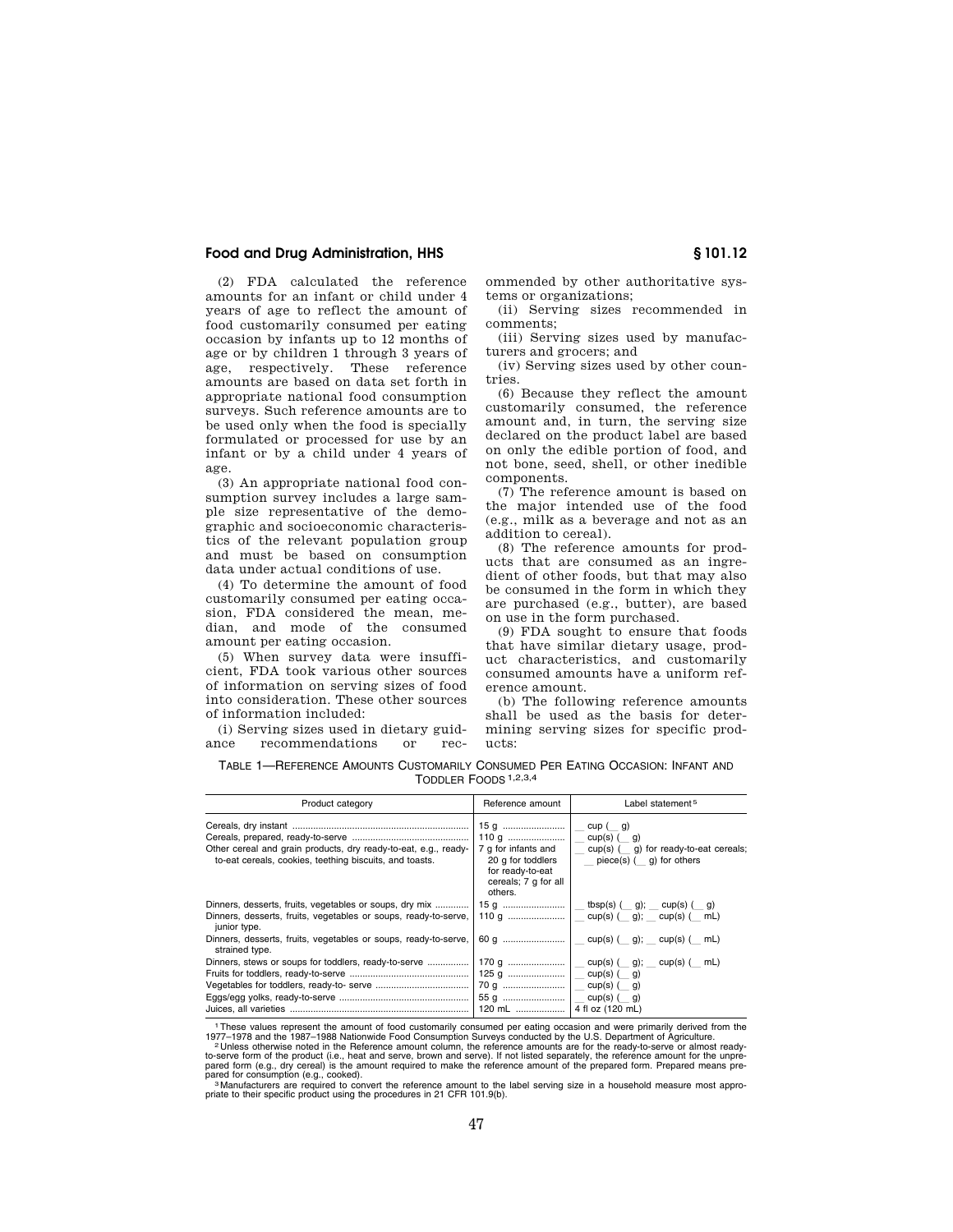(2) FDA calculated the reference amounts for an infant or child under 4 years of age to reflect the amount of food customarily consumed per eating occasion by infants up to 12 months of age or by children 1 through 3 years of age, respectively. These reference amounts are based on data set forth in appropriate national food consumption surveys. Such reference amounts are to be used only when the food is specially formulated or processed for use by an infant or by a child under 4 years of age.

(3) An appropriate national food consumption survey includes a large sample size representative of the demographic and socioeconomic characteristics of the relevant population group and must be based on consumption data under actual conditions of use.

(4) To determine the amount of food customarily consumed per eating occasion, FDA considered the mean, median, and mode of the consumed amount per eating occasion.

(5) When survey data were insufficient, FDA took various other sources of information on serving sizes of food into consideration. These other sources of information included:

(i) Serving sizes used in dietary guidance recommendations or recommended by other authoritative systems or organizations;

(ii) Serving sizes recommended in comments;

(iii) Serving sizes used by manufacturers and grocers; and

(iv) Serving sizes used by other countries.

(6) Because they reflect the amount customarily consumed, the reference amount and, in turn, the serving size declared on the product label are based on only the edible portion of food, and not bone, seed, shell, or other inedible components.

(7) The reference amount is based on the major intended use of the food (e.g., milk as a beverage and not as an addition to cereal).

(8) The reference amounts for products that are consumed as an ingredient of other foods, but that may also be consumed in the form in which they are purchased (e.g., butter), are based on use in the form purchased.

(9) FDA sought to ensure that foods that have similar dietary usage, product characteristics, and customarily consumed amounts have a uniform reference amount.

(b) The following reference amounts shall be used as the basis for determining serving sizes for specific products:

TABLE 1—REFERENCE AMOUNTS CUSTOMARILY CONSUMED PER EATING OCCASION: INFANT AND TODDLER FOODS 1,2,3,4

| Product category                                                                                                                           | Reference amount                                                                                | Label statement <sup>5</sup>                                                                                                                     |
|--------------------------------------------------------------------------------------------------------------------------------------------|-------------------------------------------------------------------------------------------------|--------------------------------------------------------------------------------------------------------------------------------------------------|
| Other cereal and grain products, dry ready-to-eat, e.g., ready-<br>to-eat cereals, cookies, teething biscuits, and toasts.                 | 7 g for infants and<br>20 g for toddlers<br>for ready-to-eat<br>cereals; 7 g for all<br>others. | $\cup$ cup $\left(\begin{array}{c} 0 \end{array}\right)$<br>$cup(s)$ $($ g)<br>cup(s) ( g) for ready-to-eat cereals;<br>piece(s) ( q) for others |
| Dinners, desserts, fruits, vegetables or soups, dry mix<br>Dinners, desserts, fruits, vegetables or soups, ready-to-serve,<br>junior type. | 110 g                                                                                           | $\text{tbsp(s)}\ (\text{g});\ \text{cup}\ \text{cup}(s)\ (\text{g})$<br>$cup(s)$ (g); $cup(s)$ (mL)                                              |
| Dinners, desserts, fruits, vegetables or soups, ready-to-serve,<br>strained type.                                                          | 60 g                                                                                            | $cup(s)$ ( $g)$ ; $cup(p(s)$ ( $mL)$                                                                                                             |
| Dinners, stews or soups for toddlers, ready-to-serve                                                                                       | 170 g<br>125 g<br>70 g<br>55 g<br>120 mL                                                        | $cup(s)$ ( $g$ ); $cup(p(s)$ ( $mL)$<br>$cup(s)$ ( g)<br>$cup(s)$ ( g)<br>$cup(s)$ ( g)<br>4 fl oz (120 mL)                                      |

<sup>1</sup> These values represent the amount of food customarily consumed per eating occasion and were primarily derived from the<br>1977–1978 and the 1987–1988 Nationwide Food Consumption Surveys conducted by the U.S. Department of

1977–1978 and the 1987–1988 Nationwide Food Consumption Surveys conducted by the U.S. Department of Agriculture.<br><sup>2</sup> Unless otherwise noted in the Reference amount column, the reference amounts are for the ready-to-serve o

pared for consumption (e.g., cooked).<br>ಿManufacturers are required to convert the reference amount to the label serving size in a household measure most appro-<br>priate to their specific product using the procedures in 21 CFR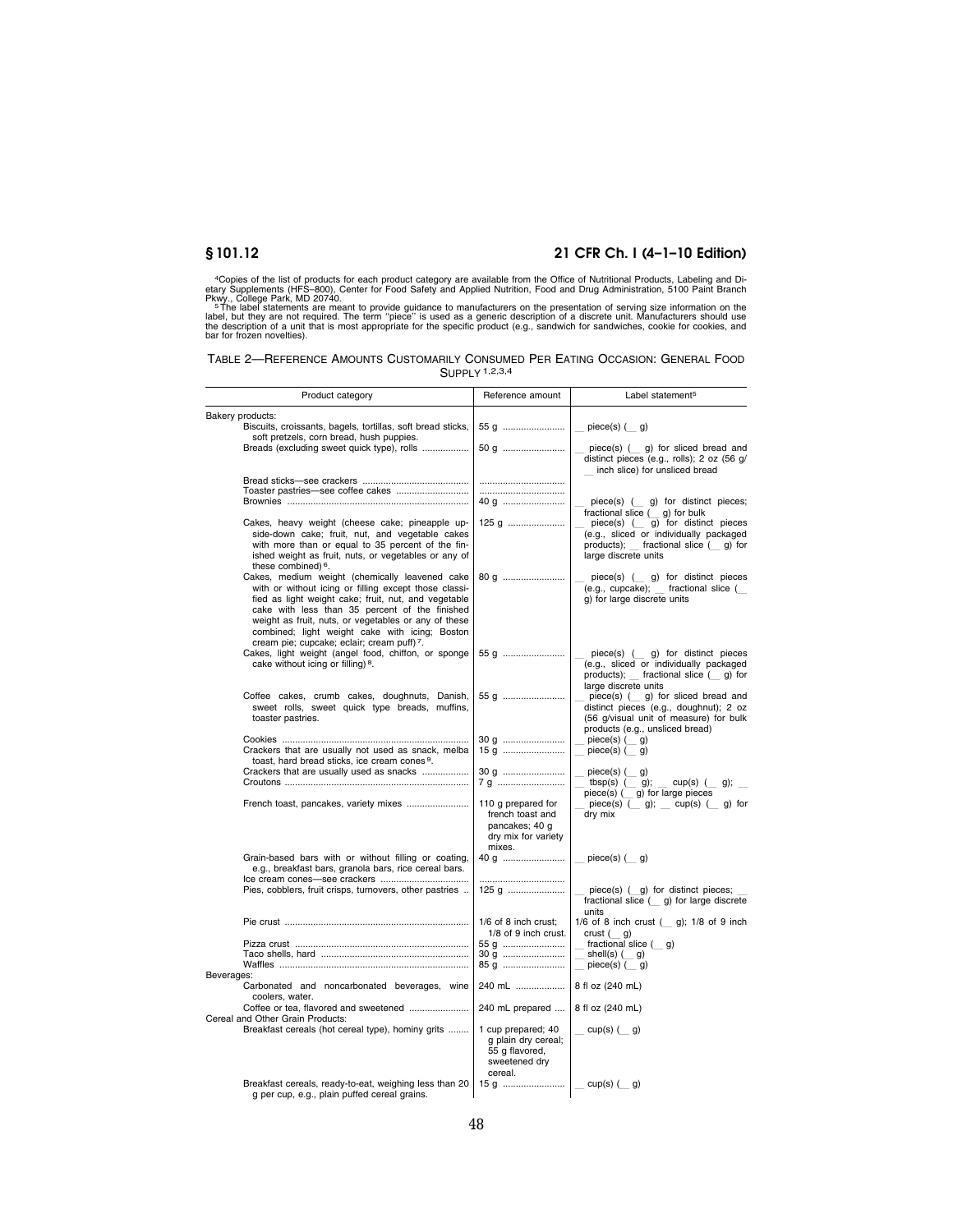## **§ 101.12 21 CFR Ch. I (4–1–10 Edition)**

-Copies of the list of products for each product category are available from the Office of Nutritional Products, Labeling and Di-<br>etary Supplements (HFS–800), Center for Food Safety and Applied Nutrition, Food and Drug Adm

Pkwy., College Park, MD 20740.<br>
<sup>5</sup>The label statements are meant to provide guidance to manufacturers on the presentation of serving size information on the<br>
label, but they are not required. The term "piece" is used as a

| TABLE 2-REFERENCE AMOUNTS CUSTOMARILY CONSUMED PER EATING OCCASION: GENERAL FOOD |
|----------------------------------------------------------------------------------|
| $S$ UPPLY 1,2,3,4                                                                |

| Product category                                                                                                                                                                                                                                                                                                                                                          | Reference amount                                                                          | Label statement <sup>5</sup>                                                                                                                                                  |
|---------------------------------------------------------------------------------------------------------------------------------------------------------------------------------------------------------------------------------------------------------------------------------------------------------------------------------------------------------------------------|-------------------------------------------------------------------------------------------|-------------------------------------------------------------------------------------------------------------------------------------------------------------------------------|
| Bakery products:<br>Biscuits, croissants, bagels, tortillas, soft bread sticks,                                                                                                                                                                                                                                                                                           | 55 g                                                                                      | $piece(s)$ $($ g)                                                                                                                                                             |
| soft pretzels, corn bread, hush puppies.<br>Breads (excluding sweet quick type), rolls                                                                                                                                                                                                                                                                                    | 50 g                                                                                      | piece(s) $($ g) for sliced bread and<br>distinct pieces (e.g., rolls); 2 oz (56 g/                                                                                            |
|                                                                                                                                                                                                                                                                                                                                                                           | <br>                                                                                      | _ inch slice) for unsliced bread<br>piece(s) ( g) for distinct pieces;                                                                                                        |
| Cakes, heavy weight (cheese cake; pineapple up-<br>side-down cake; fruit, nut, and vegetable cakes<br>with more than or equal to 35 percent of the fin-<br>ished weight as fruit, nuts, or vegetables or any of<br>these combined) <sup>6</sup> .                                                                                                                         | 125 g                                                                                     | fractional slice (g) for bulk<br>piece(s) $($ g) for distinct pieces<br>(e.g., sliced or individually packaged<br>products); fractional slice (g) for<br>large discrete units |
| Cakes, medium weight (chemically leavened cake<br>with or without icing or filling except those classi-<br>fied as light weight cake; fruit, nut, and vegetable<br>cake with less than 35 percent of the finished<br>weight as fruit, nuts, or vegetables or any of these<br>combined; light weight cake with icing; Boston<br>cream pie; cupcake; eclair; cream puff) 7. | 80 g                                                                                      | piece(s) ( g) for distinct pieces<br>(e.g., cupcake); fractional slice (<br>g) for large discrete units                                                                       |
| Cakes, light weight (angel food, chiffon, or sponge<br>cake without icing or filling) 8.                                                                                                                                                                                                                                                                                  | 55 g                                                                                      | piece(s) ( g) for distinct pieces<br>(e.g., sliced or individually packaged<br>products); __ fractional slice (_ g) for<br>large discrete units                               |
| Coffee cakes, crumb cakes, doughnuts, Danish,<br>sweet rolls, sweet quick type breads, muffins,<br>toaster pastries.                                                                                                                                                                                                                                                      | 55 g                                                                                      | piece(s) ( g) for sliced bread and<br>distinct pieces (e.g., doughnut); 2 oz<br>(56 g/visual unit of measure) for bulk<br>products (e.g., unsliced bread)                     |
| Crackers that are usually not used as snack, melba<br>toast, hard bread sticks, ice cream cones <sup>9</sup> .                                                                                                                                                                                                                                                            | 30 g                                                                                      | $piece(s)$ (g)<br>$piece(s)$ $($ g)                                                                                                                                           |
| Crackers that are usually used as snacks                                                                                                                                                                                                                                                                                                                                  | 30 g<br>7 g                                                                               | $piece(s)$ $\qquad$ g)<br>$tbsp(s)$ ( g); _ cup(s) ( g); _<br>$piece(s)$ $\qquad$ g) for large pieces                                                                         |
|                                                                                                                                                                                                                                                                                                                                                                           | 110 g prepared for<br>french toast and<br>pancakes; 40 g<br>dry mix for variety<br>mixes. | $piece(s)$ ( g); $cup(s)$ ( g) for<br>dry mix                                                                                                                                 |
| Grain-based bars with or without filling or coating,<br>e.g., breakfast bars, granola bars, rice cereal bars.                                                                                                                                                                                                                                                             | 40 g<br>                                                                                  | $piece(s)$ $($ g)                                                                                                                                                             |
| Pies, cobblers, fruit crisps, turnovers, other pastries                                                                                                                                                                                                                                                                                                                   | 125 g                                                                                     | piece(s) (g) for distinct pieces;<br>fractional slice ( g) for large discrete<br>units                                                                                        |
|                                                                                                                                                                                                                                                                                                                                                                           | 1/6 of 8 inch crust;<br>1/8 of 9 inch crust.                                              | 1/6 of 8 inch crust $($ g); 1/8 of 9 inch<br>crust $(g)$                                                                                                                      |
|                                                                                                                                                                                                                                                                                                                                                                           | 55 g<br>30 g<br>85 g                                                                      | fractional slice (g)<br>shell(s) $($ g)<br>$\_$ piece(s) $($ g)                                                                                                               |
| Beverages:                                                                                                                                                                                                                                                                                                                                                                |                                                                                           |                                                                                                                                                                               |
| Carbonated and noncarbonated beverages, wine<br>coolers, water.                                                                                                                                                                                                                                                                                                           | 240 mL                                                                                    | 8 fl oz (240 mL)                                                                                                                                                              |
| Coffee or tea, flavored and sweetened<br>Cereal and Other Grain Products:                                                                                                                                                                                                                                                                                                 | 240 mL prepared                                                                           | 8 fl oz (240 mL)                                                                                                                                                              |
| Breakfast cereals (hot cereal type), hominy grits                                                                                                                                                                                                                                                                                                                         | 1 cup prepared; 40<br>g plain dry cereal;<br>55 g flavored,<br>sweetened dry<br>cereal.   | cup(s) (g)                                                                                                                                                                    |
| Breakfast cereals, ready-to-eat, weighing less than 20<br>g per cup, e.g., plain puffed cereal grains.                                                                                                                                                                                                                                                                    |                                                                                           |                                                                                                                                                                               |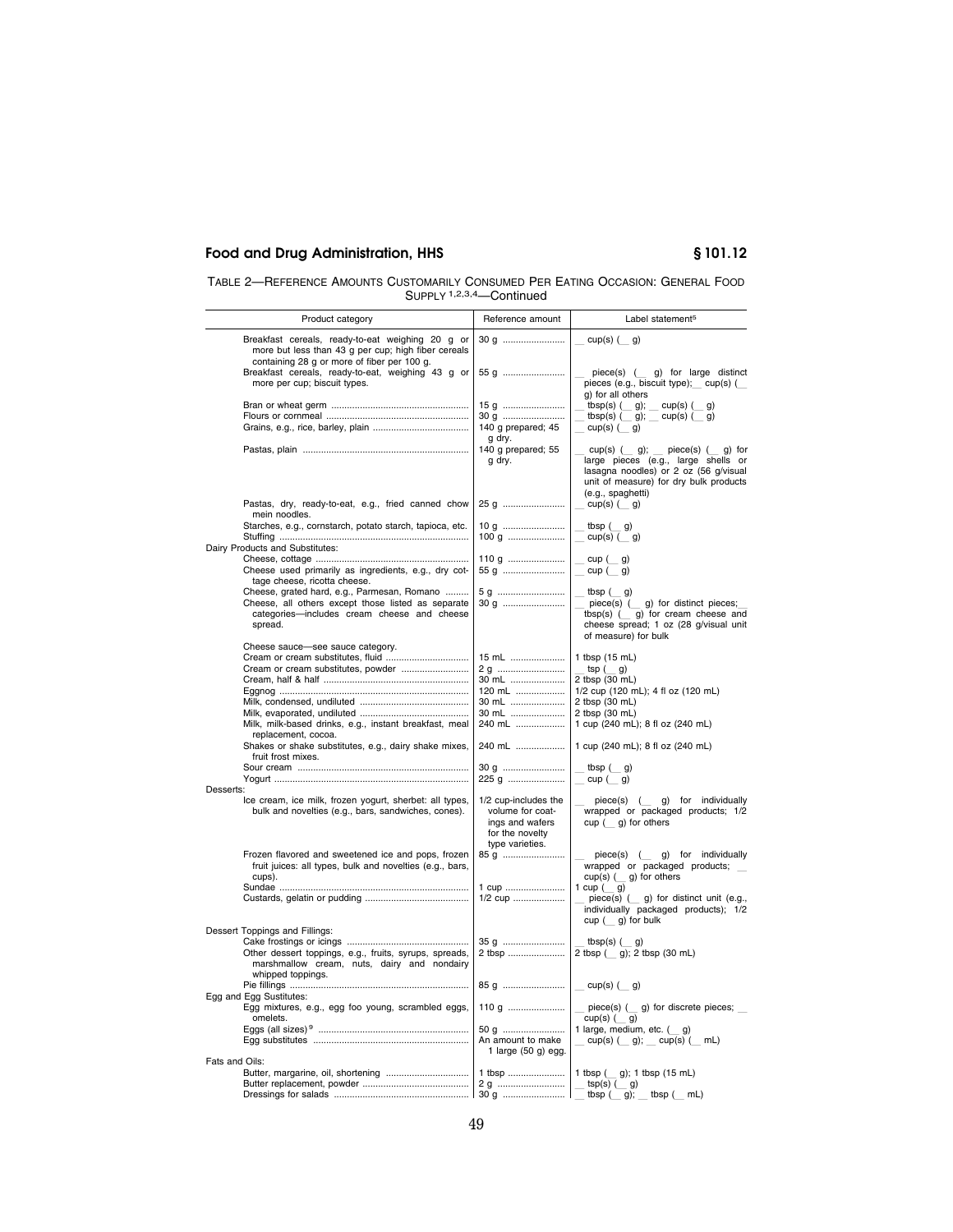| TABLE 2-REFERENCE AMOUNTS CUSTOMARILY CONSUMED PER EATING OCCASION: GENERAL FOOD |                                      |  |  |
|----------------------------------------------------------------------------------|--------------------------------------|--|--|
|                                                                                  | SUPPLY <sup>1,2,3,4</sup> —Continued |  |  |

| Product category                                                                                                                 | Reference amount                                                                                  | Label statement <sup>5</sup>                                                                                                                                                                                                                                                                      |
|----------------------------------------------------------------------------------------------------------------------------------|---------------------------------------------------------------------------------------------------|---------------------------------------------------------------------------------------------------------------------------------------------------------------------------------------------------------------------------------------------------------------------------------------------------|
| Breakfast cereals, ready-to-eat weighing 20 g or<br>more but less than 43 q per cup; high fiber cereals                          | 30 g                                                                                              | $cup(s)$ $($ g)                                                                                                                                                                                                                                                                                   |
| containing 28 g or more of fiber per 100 g.<br>Breakfast cereals, ready-to-eat, weighing 43 g or<br>more per cup; biscuit types. | 55 g                                                                                              | piece(s) ( g) for large distinct<br>pieces (e.g., biscuit type); cup(s) (<br>g) for all others                                                                                                                                                                                                    |
|                                                                                                                                  | 15 g                                                                                              |                                                                                                                                                                                                                                                                                                   |
|                                                                                                                                  | 30 g                                                                                              | $\begin{array}{l} \text{tbsp(s)} \; (\underline{\hspace{0.3cm}} 9); \; \underline{\hspace{0.3cm}} \text{cup}(s) \; (\underline{\hspace{0.3cm}} 9) \\ \text{tbsp(s)} \; (\underline{\hspace{0.3cm}} 9); \; \underline{\hspace{0.3cm}} \text{cup}(s) \; (\underline{\hspace{0.3cm}} 9) \end{array}$ |
|                                                                                                                                  | 140 g prepared; 45<br>g dry.                                                                      | $cup(s)$ $($ g)                                                                                                                                                                                                                                                                                   |
|                                                                                                                                  | 140 g prepared; 55<br>g dry.                                                                      | $cup(s)$ $\qquad$ g);  piece(s) $\qquad$ g) for<br>large pieces (e.g., large shells or<br>lasagna noodles) or 2 oz (56 g/visual<br>unit of measure) for dry bulk products<br>(e.g., spaghetti)                                                                                                    |
| Pastas, dry, ready-to-eat, e.g., fried canned chow<br>mein noodles.                                                              | 25 g                                                                                              | $cup(s)$ $($ g)                                                                                                                                                                                                                                                                                   |
| Starches, e.g., cornstarch, potato starch, tapioca, etc.                                                                         |                                                                                                   | $tbsp$ (g)                                                                                                                                                                                                                                                                                        |
|                                                                                                                                  | 100 g                                                                                             | $cup(s)$ $($ g)                                                                                                                                                                                                                                                                                   |
| Dairy Products and Substitutes:                                                                                                  |                                                                                                   |                                                                                                                                                                                                                                                                                                   |
|                                                                                                                                  | 110 g                                                                                             | $cup$ $\qquad g)$                                                                                                                                                                                                                                                                                 |
| Cheese used primarily as ingredients, e.g., dry cot-<br>tage cheese, ricotta cheese.                                             | 55 g                                                                                              | $cup$ $\qquad$ g)                                                                                                                                                                                                                                                                                 |
| Cheese, grated hard, e.g., Parmesan, Romano                                                                                      | 5 g                                                                                               | $tbsp$ ( g)                                                                                                                                                                                                                                                                                       |
| Cheese, all others except those listed as separate<br>categories-includes cream cheese and cheese<br>spread.                     | 30 g                                                                                              | piece(s) ( g) for distinct pieces;<br>$tbsp(s)$ (g) for cream cheese and<br>cheese spread; 1 oz (28 g/visual unit<br>of measure) for bulk                                                                                                                                                         |
| Cheese sauce-see sauce category.                                                                                                 |                                                                                                   |                                                                                                                                                                                                                                                                                                   |
| Cream or cream substitutes, fluid                                                                                                | 15 mL                                                                                             | 1 tbsp (15 mL)                                                                                                                                                                                                                                                                                    |
| Cream or cream substitutes, powder                                                                                               | 2 g                                                                                               | $tsp$ (g)                                                                                                                                                                                                                                                                                         |
|                                                                                                                                  | 30 mL                                                                                             | 2 tbsp (30 mL)                                                                                                                                                                                                                                                                                    |
|                                                                                                                                  | 120 mL                                                                                            | 1/2 cup (120 mL); 4 fl oz (120 mL)                                                                                                                                                                                                                                                                |
|                                                                                                                                  | $30$ mL                                                                                           | 2 tbsp (30 mL)                                                                                                                                                                                                                                                                                    |
|                                                                                                                                  | 30 mL                                                                                             | 2 tbsp (30 mL)                                                                                                                                                                                                                                                                                    |
| Milk, milk-based drinks, e.g., instant breakfast, meal<br>replacement, cocoa.                                                    | 240 mL                                                                                            | 1 cup (240 mL); 8 fl oz (240 mL)                                                                                                                                                                                                                                                                  |
| Shakes or shake substitutes, e.g., dairy shake mixes,<br>fruit frost mixes.                                                      | 240 mL                                                                                            | 1 cup (240 mL); 8 fl oz (240 mL)                                                                                                                                                                                                                                                                  |
|                                                                                                                                  | 30 g                                                                                              | tbsp $($ g)                                                                                                                                                                                                                                                                                       |
|                                                                                                                                  | 225 g                                                                                             | $cup ($ g)                                                                                                                                                                                                                                                                                        |
| Desserts:                                                                                                                        |                                                                                                   |                                                                                                                                                                                                                                                                                                   |
| Ice cream, ice milk, frozen yogurt, sherbet: all types,<br>bulk and novelties (e.g., bars, sandwiches, cones).                   | 1/2 cup-includes the<br>volume for coat-<br>ings and wafers<br>for the novelty<br>type varieties. | piece(s) (g) for individually<br>wrapped or packaged products; 1/2<br>cup ( g) for others                                                                                                                                                                                                         |
| Frozen flavored and sweetened ice and pops, frozen<br>fruit juices: all types, bulk and novelties (e.g., bars,                   | 85 g                                                                                              | piece(s) ( g) for individually<br>wrapped or packaged products;                                                                                                                                                                                                                                   |
| cups).                                                                                                                           |                                                                                                   | $cup(s)$ $\qquad$ g) for others                                                                                                                                                                                                                                                                   |
|                                                                                                                                  | 1 cup<br>1/2 cup                                                                                  | 1 cup $($ g)<br>piece(s) ( g) for distinct unit (e.g.,<br>individually packaged products); 1/2<br>$cup$ $\qquad$ g) for bulk                                                                                                                                                                      |
| Dessert Toppings and Fillings:                                                                                                   |                                                                                                   |                                                                                                                                                                                                                                                                                                   |
| Other dessert toppings, e.g., fruits, syrups, spreads,<br>marshmallow cream, nuts, dairy and nondairy<br>whipped toppings.       | 35 g<br>2 tbsp                                                                                    | $tbsp(s)$ $\qquad$ g)<br>2 tbsp ( g); 2 tbsp (30 mL)                                                                                                                                                                                                                                              |
| Egg and Egg Sustitutes:                                                                                                          | 85 g                                                                                              | $cup(s)$ $($ g)                                                                                                                                                                                                                                                                                   |
| Egg mixtures, e.g., egg foo young, scrambled eggs,<br>omelets.                                                                   | 110 g                                                                                             | piece(s) ( g) for discrete pieces;<br>$cup(s)$ (g)                                                                                                                                                                                                                                                |
|                                                                                                                                  | 50 g<br>An amount to make                                                                         | 1 large, medium, etc. (g)<br>$cup(s)$ $\qquad$ g); $\qquad$ $cup(s)$ $\qquad$ mL)                                                                                                                                                                                                                 |
|                                                                                                                                  | 1 large $(50 g)$ egg.                                                                             |                                                                                                                                                                                                                                                                                                   |
| Fats and Oils:                                                                                                                   |                                                                                                   |                                                                                                                                                                                                                                                                                                   |
|                                                                                                                                  | 1 tbsp                                                                                            | 1 tbsp (g); 1 tbsp (15 mL)                                                                                                                                                                                                                                                                        |
|                                                                                                                                  | 2 g                                                                                               | $tsp(s)$ ( $g$ )                                                                                                                                                                                                                                                                                  |
|                                                                                                                                  |                                                                                                   | $tbsp$ ( $g$ ); $tbsp$ ( $mL$ )                                                                                                                                                                                                                                                                   |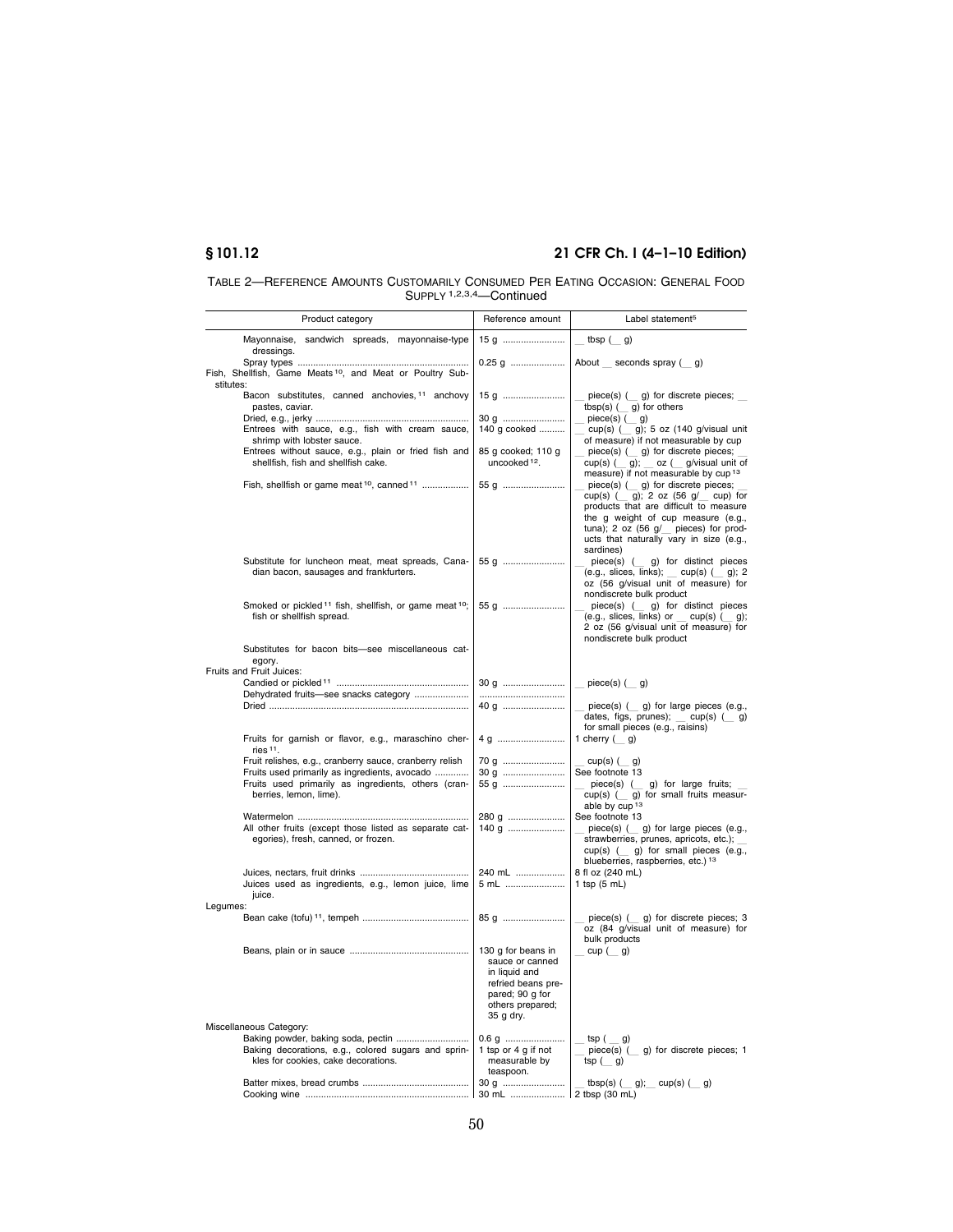# **§ 101.12 21 CFR Ch. I (4–1–10 Edition)**

| TABLE 2—REFERENCE AMOUNTS CUSTOMARILY CONSUMED PER EATING OCCASION: GENERAL FOOD |  |                                      |  |  |  |
|----------------------------------------------------------------------------------|--|--------------------------------------|--|--|--|
|                                                                                  |  | SUPPLY <sup>1,2,3,4</sup> —Continued |  |  |  |

| Product category                                                                                           | Reference amount                                                                                                                 | Label statement <sup>5</sup>                                                                                                                                                                                                                                |
|------------------------------------------------------------------------------------------------------------|----------------------------------------------------------------------------------------------------------------------------------|-------------------------------------------------------------------------------------------------------------------------------------------------------------------------------------------------------------------------------------------------------------|
| Mayonnaise, sandwich spreads, mayonnaise-type<br>dressings.                                                | 15 g                                                                                                                             | tbsp $($ g)                                                                                                                                                                                                                                                 |
| Fish, Shellfish, Game Meats <sup>10</sup> , and Meat or Poultry Sub-<br>stitutes:                          | 0.25 g                                                                                                                           | About _ seconds spray (_ g)                                                                                                                                                                                                                                 |
| Bacon substitutes, canned anchovies, 11 anchovy<br>pastes, caviar.                                         | 15 g                                                                                                                             | piece(s) ( g) for discrete pieces;<br>$tbsp(s)$ ( $\_$ g) for others                                                                                                                                                                                        |
| Entrees with sauce, e.g., fish with cream sauce,<br>shrimp with lobster sauce.                             | 30 g<br>140 g cooked                                                                                                             | $piece(s)$ (g)<br>cup(s) ( g); 5 oz (140 g/visual unit<br>of measure) if not measurable by cup                                                                                                                                                              |
| Entrees without sauce, e.g., plain or fried fish and<br>shellfish, fish and shellfish cake.                | 85 g cooked; 110 g<br>uncooked <sup>12</sup> .                                                                                   | piece(s) ( g) for discrete pieces;<br>cup(s) $($ g); $_$ oz $($ g/visual unit of<br>measure) if not measurable by cup <sup>13</sup>                                                                                                                         |
| Fish, shellfish or game meat <sup>10</sup> , canned <sup>11</sup>                                          | 55 g                                                                                                                             | piece(s) ( g) for discrete pieces;<br>$cup(s)$ ( g); 2 oz (56 g/ cup) for<br>products that are difficult to measure<br>the g weight of cup measure (e.g.,<br>tuna); $2 oz (56 g/$ pieces) for prod-<br>ucts that naturally vary in size (e.g.,<br>sardines) |
| Substitute for luncheon meat, meat spreads, Cana-<br>dian bacon, sausages and frankfurters.                | 55 g                                                                                                                             | piece(s) ( g) for distinct pieces<br>$(e.g., slices, links);$ $cup(s)$ $( g); 2$<br>oz (56 g/visual unit of measure) for<br>nondiscrete bulk product                                                                                                        |
| Smoked or pickled <sup>11</sup> fish, shellfish, or game meat <sup>10</sup> ;<br>fish or shellfish spread. | 55 g                                                                                                                             | piece(s) (g) for distinct pieces<br>(e.g., slices, links) or $\_\_$ cup(s) $\_\_$ g);<br>2 oz (56 g/visual unit of measure) for<br>nondiscrete bulk product                                                                                                 |
| Substitutes for bacon bits-see miscellaneous cat-<br>egory.<br>Fruits and Fruit Juices:                    |                                                                                                                                  |                                                                                                                                                                                                                                                             |
|                                                                                                            | 30 g                                                                                                                             | $piece(s)$ $\qquad \qquad$ g)                                                                                                                                                                                                                               |
| Dehydrated fruits-see snacks category                                                                      |                                                                                                                                  |                                                                                                                                                                                                                                                             |
|                                                                                                            | 40 g                                                                                                                             | piece(s) ( g) for large pieces (e.g.,<br>dates, figs, prunes); _ cup(s) (_ g)<br>for small pieces (e.g., raisins)                                                                                                                                           |
| Fruits for garnish or flavor, e.g., maraschino cher-<br>$ries11$ .                                         | 4 g                                                                                                                              | 1 cherry $(g)$                                                                                                                                                                                                                                              |
| Fruit relishes, e.g., cranberry sauce, cranberry relish<br>Fruits used primarily as ingredients, avocado   | 70 g<br>30 g                                                                                                                     | $cup(s)$ $\qquad g)$<br>See footnote 13                                                                                                                                                                                                                     |
| Fruits used primarily as ingredients, others (cran-<br>berries, lemon, lime).                              | 55 g                                                                                                                             | piece(s) (g) for large fruits;<br>cup(s) (g) for small fruits measur-<br>able by cup <sup>13</sup>                                                                                                                                                          |
|                                                                                                            | 280 g                                                                                                                            | See footnote 13                                                                                                                                                                                                                                             |
| All other fruits (except those listed as separate cat-<br>egories), fresh, canned, or frozen.              | 140 g                                                                                                                            | piece(s) ( g) for large pieces (e.g.,<br>strawberries, prunes, apricots, etc.);<br>$cup(s)$ ( $g)$ for small pieces (e.g.,<br>blueberries, raspberries, etc.) 13                                                                                            |
|                                                                                                            | 240 mL                                                                                                                           | 8 fl oz (240 mL)                                                                                                                                                                                                                                            |
| Juices used as ingredients, e.g., lemon juice, lime<br>juice.<br>Legumes:                                  | 5 mL                                                                                                                             | 1 tsp $(5 mL)$                                                                                                                                                                                                                                              |
|                                                                                                            | 85 g                                                                                                                             | piece(s) ( g) for discrete pieces; 3<br>oz (84 g/visual unit of measure) for<br>bulk products                                                                                                                                                               |
| Miscellaneous Category:                                                                                    | 130 g for beans in<br>sauce or canned<br>in liquid and<br>refried beans pre-<br>pared; 90 g for<br>others prepared;<br>35 g dry. | $cup ($ g)                                                                                                                                                                                                                                                  |
| Baking powder, baking soda, pectin                                                                         | 0.6 g                                                                                                                            | $\mathsf{tsp}$ ( $\qquad$ g)                                                                                                                                                                                                                                |
| Baking decorations, e.g., colored sugars and sprin-<br>kles for cookies, cake decorations.                 | 1 tsp or 4 g if not<br>measurable by<br>teaspoon.                                                                                | piece(s) (g) for discrete pieces; 1<br>$\text{tsp}$ (g)                                                                                                                                                                                                     |
|                                                                                                            |                                                                                                                                  | $tbsp(s)$ $\qquad g)$ ; cup(s) $\qquad g)$                                                                                                                                                                                                                  |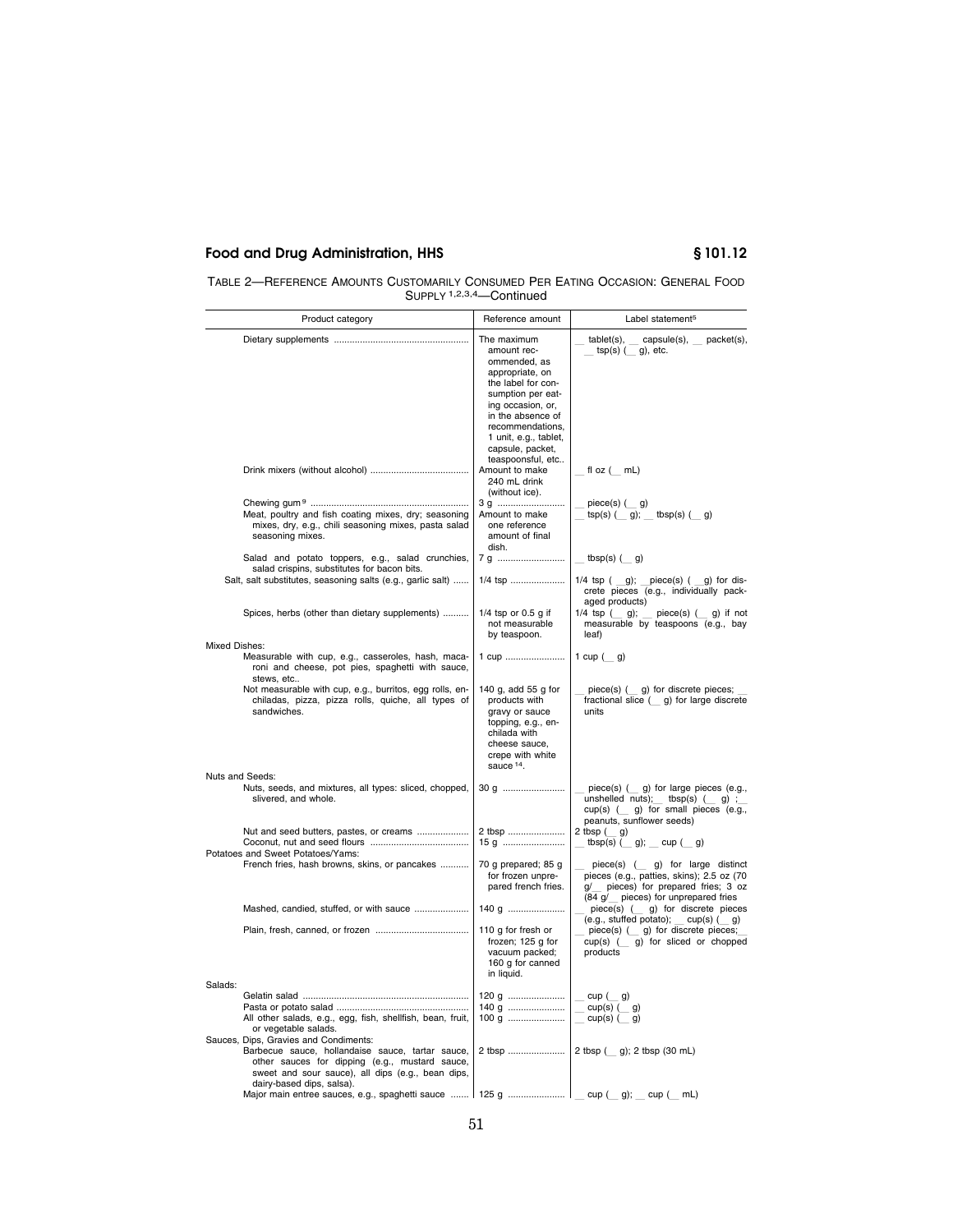| TABLE 2-REFERENCE AMOUNTS CUSTOMARILY CONSUMED PER EATING OCCASION: GENERAL FOOD |  |                                      |  |  |  |
|----------------------------------------------------------------------------------|--|--------------------------------------|--|--|--|
|                                                                                  |  | SUPPLY <sup>1,2,3,4</sup> —Continued |  |  |  |

| Product category                                                                                                                                                                     | Reference amount                                                                                                                                                                                                                         | Label statement <sup>5</sup>                                                                                                                                  |
|--------------------------------------------------------------------------------------------------------------------------------------------------------------------------------------|------------------------------------------------------------------------------------------------------------------------------------------------------------------------------------------------------------------------------------------|---------------------------------------------------------------------------------------------------------------------------------------------------------------|
|                                                                                                                                                                                      | The maximum<br>amount rec-<br>ommended, as<br>appropriate, on<br>the label for con-<br>sumption per eat-<br>ing occasion, or,<br>in the absence of<br>recommendations,<br>1 unit, e.g., tablet,<br>capsule, packet,<br>teaspoonsful, etc | capsule(s),<br>tablet(s),<br>packet(s),<br>$tsp(s)$ $\qquad$ g), etc.                                                                                         |
|                                                                                                                                                                                      | Amount to make<br>240 mL drink<br>(without ice).                                                                                                                                                                                         | fl oz $(mL)$                                                                                                                                                  |
| Meat, poultry and fish coating mixes, dry; seasoning<br>mixes, dry, e.g., chili seasoning mixes, pasta salad<br>seasoning mixes.                                                     | 3 g<br>Amount to make<br>one reference<br>amount of final<br>dish.                                                                                                                                                                       | $piece(s)$ $($ g)<br>$tsp(s)$ ( $g$ ); $bsp(s)$ ( $g$ )                                                                                                       |
| Salad and potato toppers, e.g., salad crunchies,                                                                                                                                     | 7 g                                                                                                                                                                                                                                      | $tbsp(s)$ $\qquad g)$                                                                                                                                         |
| salad crispins, substitutes for bacon bits.<br>Salt, salt substitutes, seasoning salts (e.g., garlic salt)                                                                           | 1/4 tsp                                                                                                                                                                                                                                  | $1/4$ tsp $($ g); piece(s) $($ g) for dis-<br>crete pieces (e.g., individually pack-<br>aged products)                                                        |
| Spices, herbs (other than dietary supplements)<br>Mixed Dishes:                                                                                                                      | $1/4$ tsp or 0.5 g if<br>not measurable<br>by teaspoon.                                                                                                                                                                                  | 1/4 tsp $($ g);  piece(s) $($ g) if not<br>measurable by teaspoons (e.g., bay<br>leaf)                                                                        |
| Measurable with cup, e.g., casseroles, hash, maca-<br>roni and cheese, pot pies, spaghetti with sauce,<br>stews, etc                                                                 | 1 cup                                                                                                                                                                                                                                    | 1 cup $(g)$                                                                                                                                                   |
| Not measurable with cup, e.g., burritos, egg rolls, en-<br>chiladas, pizza, pizza rolls, quiche, all types of<br>sandwiches.                                                         | 140 g, add 55 g for<br>products with<br>gravy or sauce<br>topping, e.g., en-<br>chilada with<br>cheese sauce,<br>crepe with white<br>sauce 14.                                                                                           | piece(s) ( g) for discrete pieces;<br>fractional slice $($ g) for large discrete<br>units                                                                     |
| Nuts and Seeds:                                                                                                                                                                      |                                                                                                                                                                                                                                          |                                                                                                                                                               |
| Nuts, seeds, and mixtures, all types: sliced, chopped,<br>slivered, and whole.                                                                                                       | 30 g                                                                                                                                                                                                                                     | piece(s) $($ g) for large pieces (e.g.,<br>unshelled nuts); tbsp(s) $($ g) ;<br>cup(s) ( g) for small pieces (e.g.,<br>peanuts, sunflower seeds)              |
| Potatoes and Sweet Potatoes/Yams:                                                                                                                                                    | 2 tbsp                                                                                                                                                                                                                                   | 2 tbsp $($ g)<br>$tbsp(s)$ $\qquad g$ ); $\qquad$ cup $\qquad q$ )                                                                                            |
| French fries, hash browns, skins, or pancakes                                                                                                                                        | 70 g prepared; 85 g<br>for frozen unpre-<br>pared french fries.                                                                                                                                                                          | piece(s) $($ g) for large distinct<br>pieces (e.g., patties, skins); 2.5 oz (70<br>g/ pieces) for prepared fries; 3 oz<br>(84 g/ pieces) for unprepared fries |
|                                                                                                                                                                                      | 140 g                                                                                                                                                                                                                                    | piece(s) ( g) for discrete pieces<br>(e.g., stuffed potato);<br>$cup(s)$ $\begin{pmatrix} 0 \\ 0 \end{pmatrix}$                                               |
|                                                                                                                                                                                      | 110 g for fresh or<br>frozen; 125 g for<br>vacuum packed;<br>160 g for canned<br>in liquid.                                                                                                                                              | piece(s) ( g) for discrete pieces;<br>cup(s) ( g) for sliced or chopped<br>products                                                                           |
| Salads:                                                                                                                                                                              |                                                                                                                                                                                                                                          |                                                                                                                                                               |
| All other salads, e.g., egg, fish, shellfish, bean, fruit,<br>or vegetable salads.<br>Sauces, Dips, Gravies and Condiments:                                                          | 120 g<br>140 g<br>100 g                                                                                                                                                                                                                  | $cup$ $\qquad$ g)<br>$cup(s)$ $\qquad \qquad$ g)<br>$cup(s)$ $\qquad g)$                                                                                      |
| Barbecue sauce, hollandaise sauce, tartar sauce,<br>other sauces for dipping (e.g., mustard sauce,<br>sweet and sour sauce), all dips (e.g., bean dips,<br>dairy-based dips, salsa). |                                                                                                                                                                                                                                          |                                                                                                                                                               |
| Major main entree sauces, e.g., spaghetti sauce    125 g    _ cup (_ g); _ cup (_ mL)                                                                                                |                                                                                                                                                                                                                                          |                                                                                                                                                               |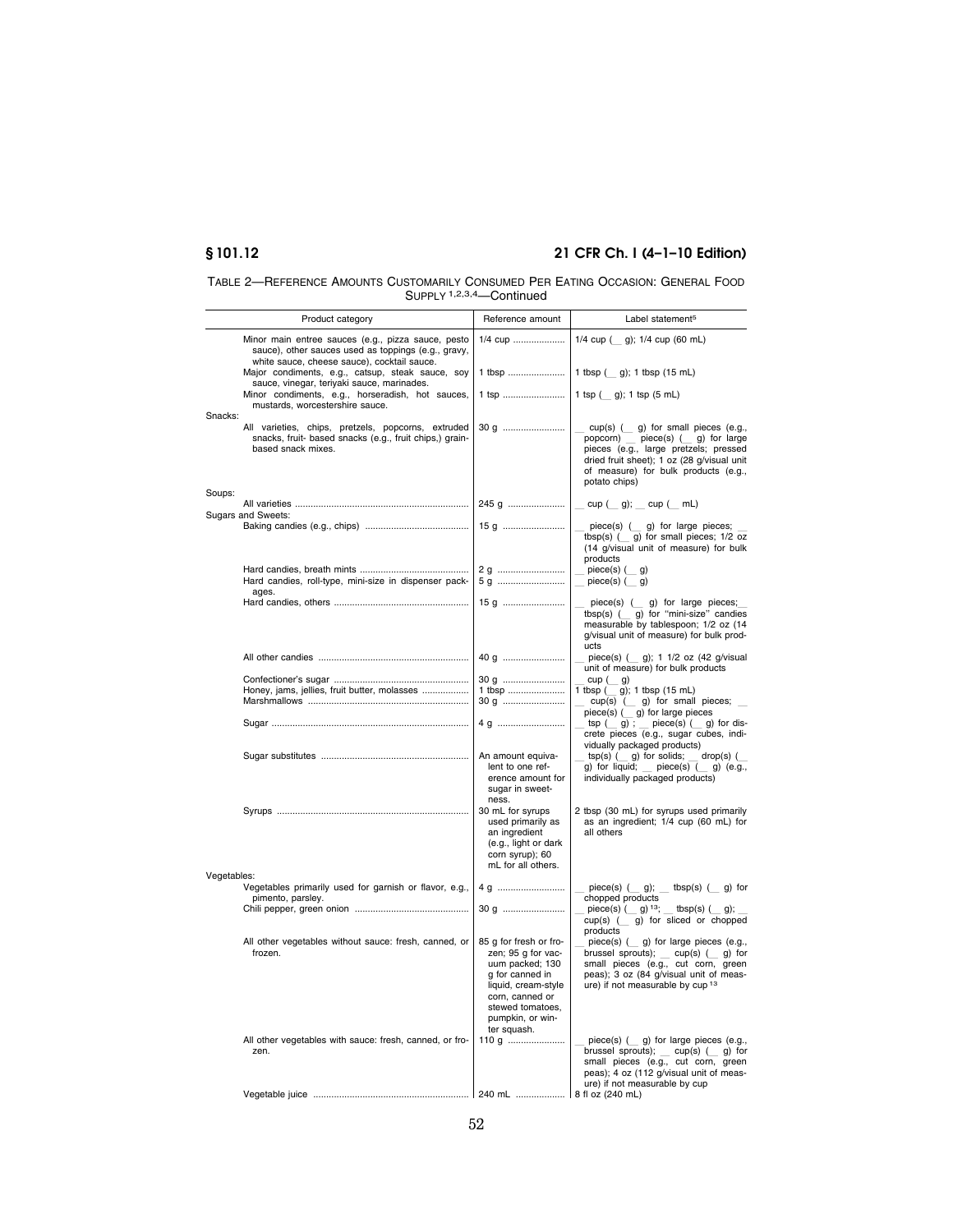# **§ 101.12 21 CFR Ch. I (4–1–10 Edition)**

|                          | TABLE 2-REFERENCE AMOUNTS CUSTOMARILY CONSUMED PER EATING OCCASION: GENERAL FOOD |
|--------------------------|----------------------------------------------------------------------------------|
| SUPPLY 1,2,3,4 Continued |                                                                                  |

|             | Product category                                                                                                                              | Reference amount                                                                                                                                                                    | Label statement <sup>5</sup>                                                                                                                                                                                                        |
|-------------|-----------------------------------------------------------------------------------------------------------------------------------------------|-------------------------------------------------------------------------------------------------------------------------------------------------------------------------------------|-------------------------------------------------------------------------------------------------------------------------------------------------------------------------------------------------------------------------------------|
|             | Minor main entree sauces (e.g., pizza sauce, pesto<br>sauce), other sauces used as toppings (e.g., gravy,                                     | 1/4 cup                                                                                                                                                                             | 1/4 cup $\frac{1}{4}$ cup (60 mL)                                                                                                                                                                                                   |
|             | white sauce, cheese sauce), cocktail sauce.<br>Major condiments, e.g., catsup, steak sauce, soy<br>sauce, vinegar, teriyaki sauce, marinades. | 1 tbsp                                                                                                                                                                              | 1 tbsp (g); 1 tbsp (15 mL)                                                                                                                                                                                                          |
|             | Minor condiments, e.g., horseradish, hot sauces,<br>mustards, worcestershire sauce.                                                           | 1 tsp                                                                                                                                                                               | 1 tsp $($ g); 1 tsp $(5 \text{ mL})$                                                                                                                                                                                                |
| Snacks:     | All varieties, chips, pretzels, popcorns, extruded<br>snacks, fruit- based snacks (e.g., fruit chips,) grain-<br>based snack mixes.           | 30 g                                                                                                                                                                                | $cup(s)$ $\qquad$ g) for small pieces (e.g.,<br>popcorn)  piece(s) $($ g) for large<br>pieces (e.g., large pretzels; pressed<br>dried fruit sheet); 1 oz (28 g/visual unit<br>of measure) for bulk products (e.g.,<br>potato chips) |
| Soups:      |                                                                                                                                               |                                                                                                                                                                                     |                                                                                                                                                                                                                                     |
|             | Sugars and Sweets:                                                                                                                            |                                                                                                                                                                                     |                                                                                                                                                                                                                                     |
|             |                                                                                                                                               | 15 g                                                                                                                                                                                | piece(s) $($ g) for large pieces;<br>tbsp(s) $($ g) for small pieces; $1/2$ oz<br>(14 g/visual unit of measure) for bulk<br>products                                                                                                |
|             |                                                                                                                                               | 2 g                                                                                                                                                                                 | $\_$ piece(s) $($ g)                                                                                                                                                                                                                |
|             | Hard candies, roll-type, mini-size in dispenser pack-<br>ages.                                                                                | 5 g                                                                                                                                                                                 | $piece(s)$ $($ g)                                                                                                                                                                                                                   |
|             |                                                                                                                                               |                                                                                                                                                                                     | piece(s) $($ g) for large pieces;<br>tbsp(s) $($ g) for "mini-size" candies<br>measurable by tablespoon; 1/2 oz (14<br>g/visual unit of measure) for bulk prod-<br>ucts                                                             |
|             |                                                                                                                                               | 40 g                                                                                                                                                                                | piece(s) ( g); 1 1/2 oz (42 g/visual<br>unit of measure) for bulk products                                                                                                                                                          |
|             | Honey, jams, jellies, fruit butter, molasses                                                                                                  | 30 g<br>1 tbsp                                                                                                                                                                      | $cup (-g)$<br>1 tbsp ( g); 1 tbsp (15 mL)                                                                                                                                                                                           |
|             |                                                                                                                                               | 30 g                                                                                                                                                                                | cup(s) ( g) for small pieces;<br>$piece(s)$ $($ g) for large pieces                                                                                                                                                                 |
|             |                                                                                                                                               |                                                                                                                                                                                     | $tsp$ ( $g$ ); piece(s) ( $g$ ) for dis-<br>crete pieces (e.g., sugar cubes, indi-<br>vidually packaged products)                                                                                                                   |
|             |                                                                                                                                               | An amount equiva-<br>lent to one ref-<br>erence amount for<br>sugar in sweet-<br>ness.                                                                                              | $tsp(s)$ ( $\Box$ g) for solids;<br>drop(s) (<br>g) for liquid;<br>$piece(s)$ (g) (e.g.,<br>individually packaged products)                                                                                                         |
|             |                                                                                                                                               | 30 mL for syrups<br>used primarily as<br>an ingredient<br>(e.g., light or dark<br>corn syrup); 60<br>mL for all others.                                                             | 2 tbsp (30 mL) for syrups used primarily<br>as an ingredient; 1/4 cup (60 mL) for<br>all others                                                                                                                                     |
| Vegetables: | Vegetables primarily used for garnish or flavor, e.g.,                                                                                        | 4 g                                                                                                                                                                                 | piece(s) $\qquad \qquad$ g); $\qquad \qquad$ tbsp(s) $\qquad \qquad$ g) for                                                                                                                                                         |
|             | pimento, parsley.                                                                                                                             | 30 g                                                                                                                                                                                | chopped products<br>piece(s) $($ g) <sup>13</sup> ;<br>tbsp(s) $($ g);<br>cup(s) ( g) for sliced or chopped<br>products                                                                                                             |
|             | All other vegetables without sauce: fresh, canned, or<br>frozen.                                                                              | 85 g for fresh or fro-<br>zen; 95 g for vac-<br>uum packed; 130<br>g for canned in<br>liquid, cream-style<br>corn, canned or<br>stewed tomatoes,<br>pumpkin, or win-<br>ter squash. | piece(s) ( g) for large pieces (e.g.,<br>brussel sprouts); $\_\_$ cup(s) $\_\_$ g) for<br>small pieces (e.g., cut corn, green<br>peas); 3 oz (84 g/visual unit of meas-<br>ure) if not measurable by cup <sup>13</sup>              |
|             | All other vegetables with sauce: fresh, canned, or fro-<br>zen.                                                                               | 110 g                                                                                                                                                                               | piece(s) ( g) for large pieces (e.g.,<br>brussel sprouts); _ cup(s) (_ g) for<br>small pieces (e.g., cut corn, green<br>peas); 4 oz (112 g/visual unit of meas-<br>ure) if not measurable by cup                                    |
|             |                                                                                                                                               |                                                                                                                                                                                     |                                                                                                                                                                                                                                     |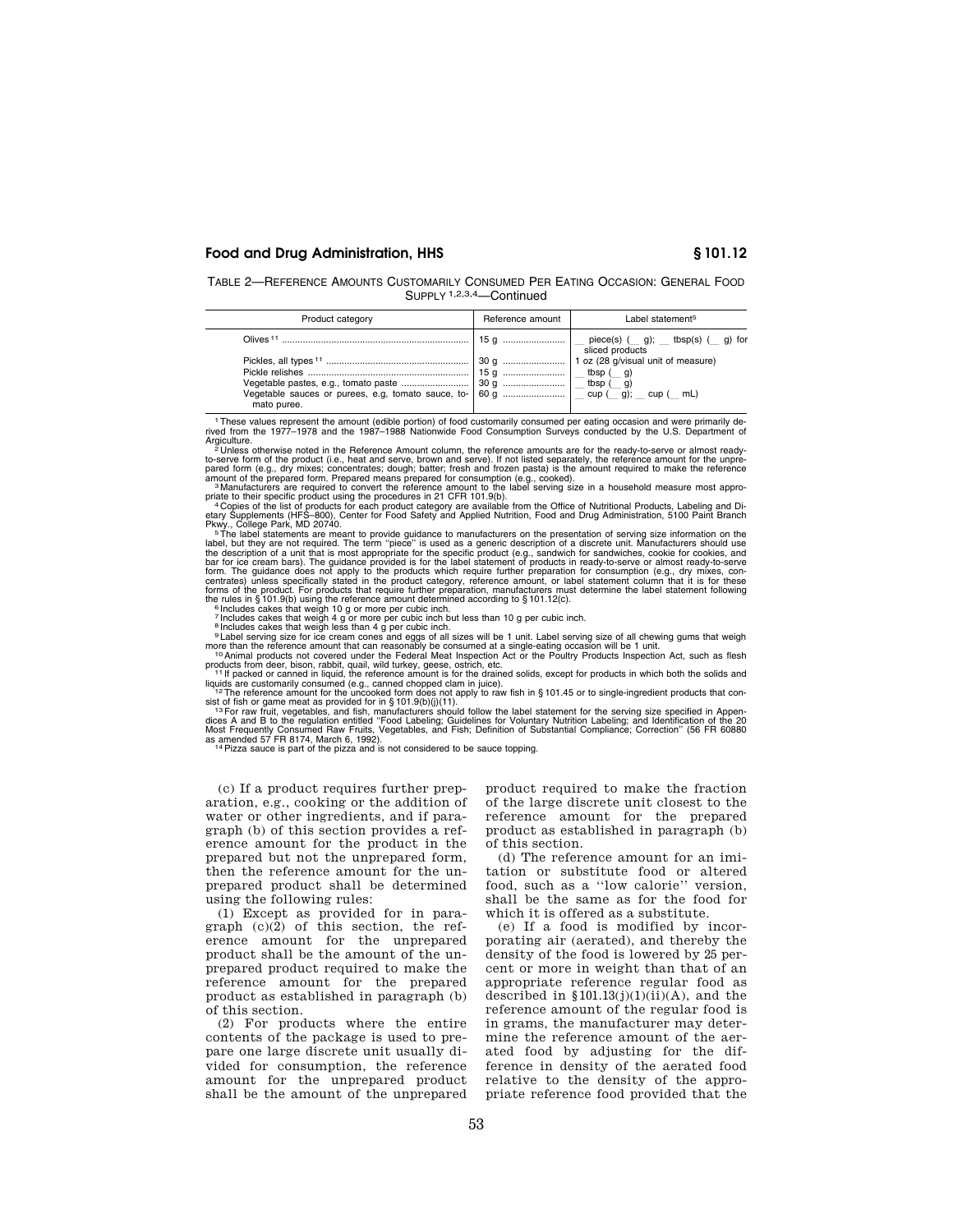TABLE 2—REFERENCE AMOUNTS CUSTOMARILY CONSUMED PER EATING OCCASION: GENERAL FOOD SUPPLY 1,2,3,4—Continued

| Product category                                                  | Reference amount | Label statement <sup>5</sup>                                                                                      |
|-------------------------------------------------------------------|------------------|-------------------------------------------------------------------------------------------------------------------|
|                                                                   |                  | $\_$ piece(s) $($ g); $\_$ tbsp(s) $($ g) for<br>sliced products                                                  |
| Vegetable sauces or purees, e.g, tomato sauce, to-<br>mato puree. |                  | 1 oz (28 g/visual unit of measure)<br>$tbsp$ (g)<br>$tbsp$ $\qquad$ g)<br>$\vert$ cup $\vert$ g); cup $\vert$ mL) |

-1 These values represent the amount (edible portion) of food customarily consumed per eating occasion and were primarily de-<br>rived from the 1977–1978 and the 1987–1988 Nationwide Food Consumption Surveys conducted by the

Argiculture.<br><sup>2</sup>Unless otherwise noted in the Reference Amount column, the reference amounts are for the ready-to-serve or almost readyto-serve form of the product (i.e., heat and serve, brown and serve). If not listed separately, the reference amount for the unpre-<br>pared form (e.g., dry mixes; concentrates; dough; batter; fresh and frozen pasta) is the a amount of the prepared form. Prepared means prepared for consumption (e.g., cooked).<br><sup>3</sup> Manufacturers are required to convert the reference amount to the label serving size in a household measure most appro-

priate to their specific product using the procedures in 21 CFR 101.9(b).<br>" Copies of the list of products for each product category are available from the Office of Nutritional Products, Labeling and Di-<br>etary Supplement

Pkwy., College Park, MD 20740.<br><sup>5</sup>The label statements are meant to provide guidance to manufacturers on the presentation of serving size information on the

label, but they are not required. The term "piece" is used as a generic description of a discrete unit. Manufacturers should use the eposition of a discrete unit. Manufacturers should use the eposition of a unit that is mo

the rules in §101.12(b). using the reference amount determined according to §101.12(c).<br>
<sup>6</sup> Includes cakes that weigh 10 g or more per cubic inch.<br>
<sup>7</sup> Includes cakes that weigh 4 g or more per cubic inch but less than 10

products from deer, bison, rabbit, quail, wild turkey, geese, ostrich, etc.<br>11 If packed or canned in liquid, the reference amount is for the drained solids, except for products in which both the solids and

liquids are customarily consumed (e.g., canned chopped clam in juice).<br><sup>12</sup>The reference amount for the uncooked form does not apply to raw fish in § 101.45 or to single-ingredient products that con-

sist of fish or game meat as provided for in § 101.9(b)(i)(11).<br>13 For raw fruit, vegetables, and fish, manufacturers should follow the label statement for the serving size specified in Appen-<br>13 For raw fruit, vegetables,

(c) If a product requires further preparation, e.g., cooking or the addition of water or other ingredients, and if paragraph (b) of this section provides a reference amount for the product in the prepared but not the unprepared form, then the reference amount for the unprepared product shall be determined using the following rules:

(1) Except as provided for in paragraph  $(c)(2)$  of this section, the reference amount for the unprepared product shall be the amount of the unprepared product required to make the reference amount for the prepared product as established in paragraph (b) of this section.

(2) For products where the entire contents of the package is used to prepare one large discrete unit usually divided for consumption, the reference amount for the unprepared product shall be the amount of the unprepared

product required to make the fraction of the large discrete unit closest to the reference amount for the prepared product as established in paragraph (b) of this section.

(d) The reference amount for an imitation or substitute food or altered food, such as a ''low calorie'' version, shall be the same as for the food for which it is offered as a substitute.

(e) If a food is modified by incorporating air (aerated), and thereby the density of the food is lowered by 25 percent or more in weight than that of an appropriate reference regular food as described in  $$101.13(j)(1)(ii)(A)$ , and the reference amount of the regular food is in grams, the manufacturer may determine the reference amount of the aerated food by adjusting for the difference in density of the aerated food relative to the density of the appropriate reference food provided that the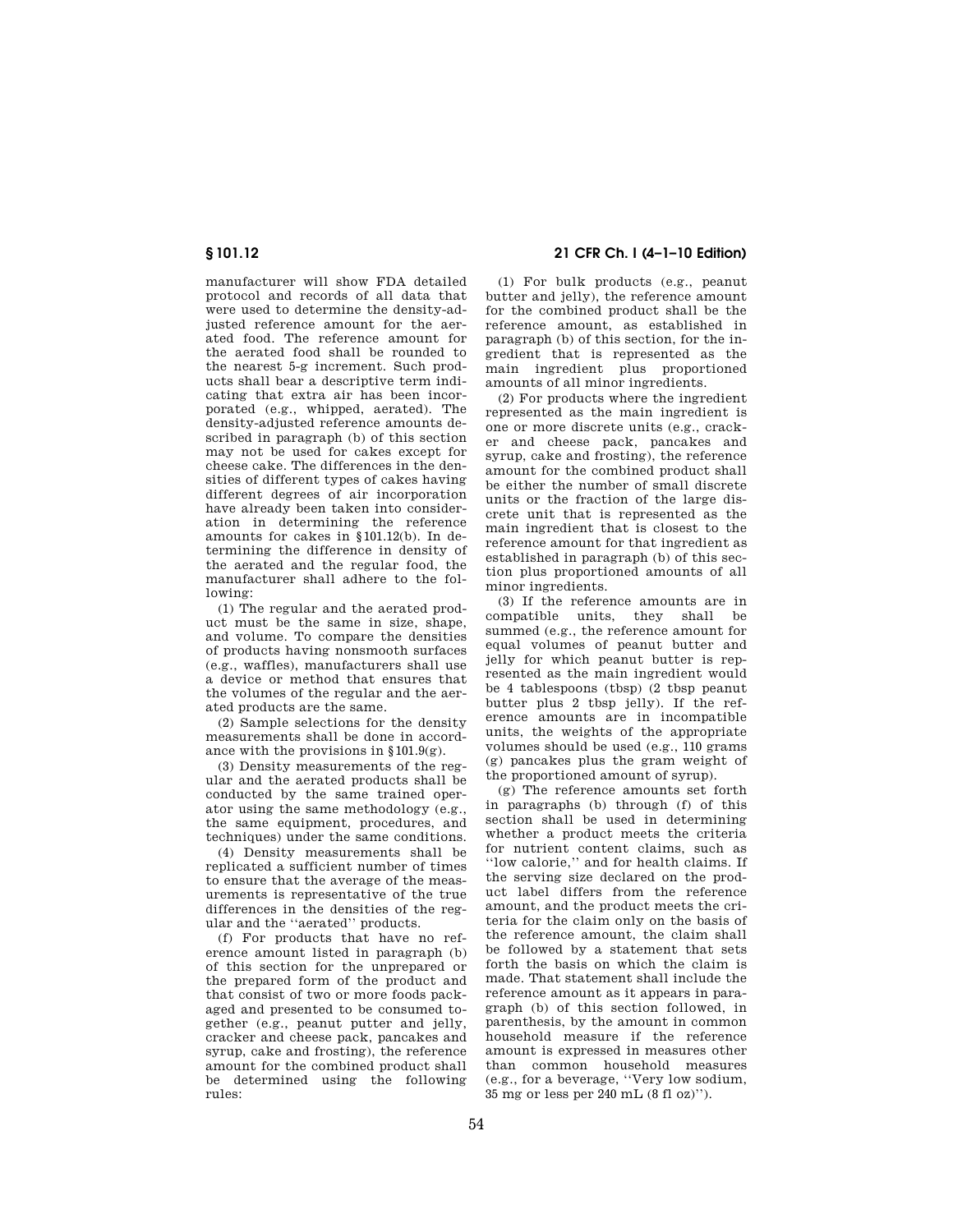manufacturer will show FDA detailed protocol and records of all data that were used to determine the density-adjusted reference amount for the aerated food. The reference amount for the aerated food shall be rounded to the nearest 5-g increment. Such products shall bear a descriptive term indicating that extra air has been incorporated (e.g., whipped, aerated). The density-adjusted reference amounts described in paragraph (b) of this section may not be used for cakes except for cheese cake. The differences in the densities of different types of cakes having different degrees of air incorporation have already been taken into consideration in determining the reference amounts for cakes in §101.12(b). In determining the difference in density of the aerated and the regular food, the manufacturer shall adhere to the following:

(1) The regular and the aerated product must be the same in size, shape, and volume. To compare the densities of products having nonsmooth surfaces (e.g., waffles), manufacturers shall use a device or method that ensures that the volumes of the regular and the aerated products are the same.

(2) Sample selections for the density measurements shall be done in accordance with the provisions in §101.9(g).

(3) Density measurements of the regular and the aerated products shall be conducted by the same trained operator using the same methodology (e.g., the same equipment, procedures, and techniques) under the same conditions.

(4) Density measurements shall be replicated a sufficient number of times to ensure that the average of the measurements is representative of the true differences in the densities of the regular and the ''aerated'' products.

(f) For products that have no reference amount listed in paragraph (b) of this section for the unprepared or the prepared form of the product and that consist of two or more foods packaged and presented to be consumed together (e.g., peanut putter and jelly, cracker and cheese pack, pancakes and syrup, cake and frosting), the reference amount for the combined product shall be determined using the following rules:

## **§ 101.12 21 CFR Ch. I (4–1–10 Edition)**

(1) For bulk products (e.g., peanut butter and jelly), the reference amount for the combined product shall be the reference amount, as established in paragraph (b) of this section, for the ingredient that is represented as the main ingredient plus proportioned amounts of all minor ingredients.

(2) For products where the ingredient represented as the main ingredient is one or more discrete units (e.g., cracker and cheese pack, pancakes and syrup, cake and frosting), the reference amount for the combined product shall be either the number of small discrete units or the fraction of the large discrete unit that is represented as the main ingredient that is closest to the reference amount for that ingredient as established in paragraph (b) of this section plus proportioned amounts of all minor ingredients.

(3) If the reference amounts are in compatible units, they shall be summed (e.g., the reference amount for equal volumes of peanut butter and jelly for which peanut butter is represented as the main ingredient would be 4 tablespoons (tbsp) (2 tbsp peanut butter plus 2 tbsp jelly). If the reference amounts are in incompatible units, the weights of the appropriate volumes should be used (e.g., 110 grams (g) pancakes plus the gram weight of the proportioned amount of syrup).

(g) The reference amounts set forth in paragraphs (b) through (f) of this section shall be used in determining whether a product meets the criteria for nutrient content claims, such as ''low calorie,'' and for health claims. If the serving size declared on the product label differs from the reference amount, and the product meets the criteria for the claim only on the basis of the reference amount, the claim shall be followed by a statement that sets forth the basis on which the claim is made. That statement shall include the reference amount as it appears in paragraph (b) of this section followed, in parenthesis, by the amount in common household measure if the reference amount is expressed in measures other than common household measures (e.g., for a beverage, ''Very low sodium, 35 mg or less per 240 mL (8 fl oz)'').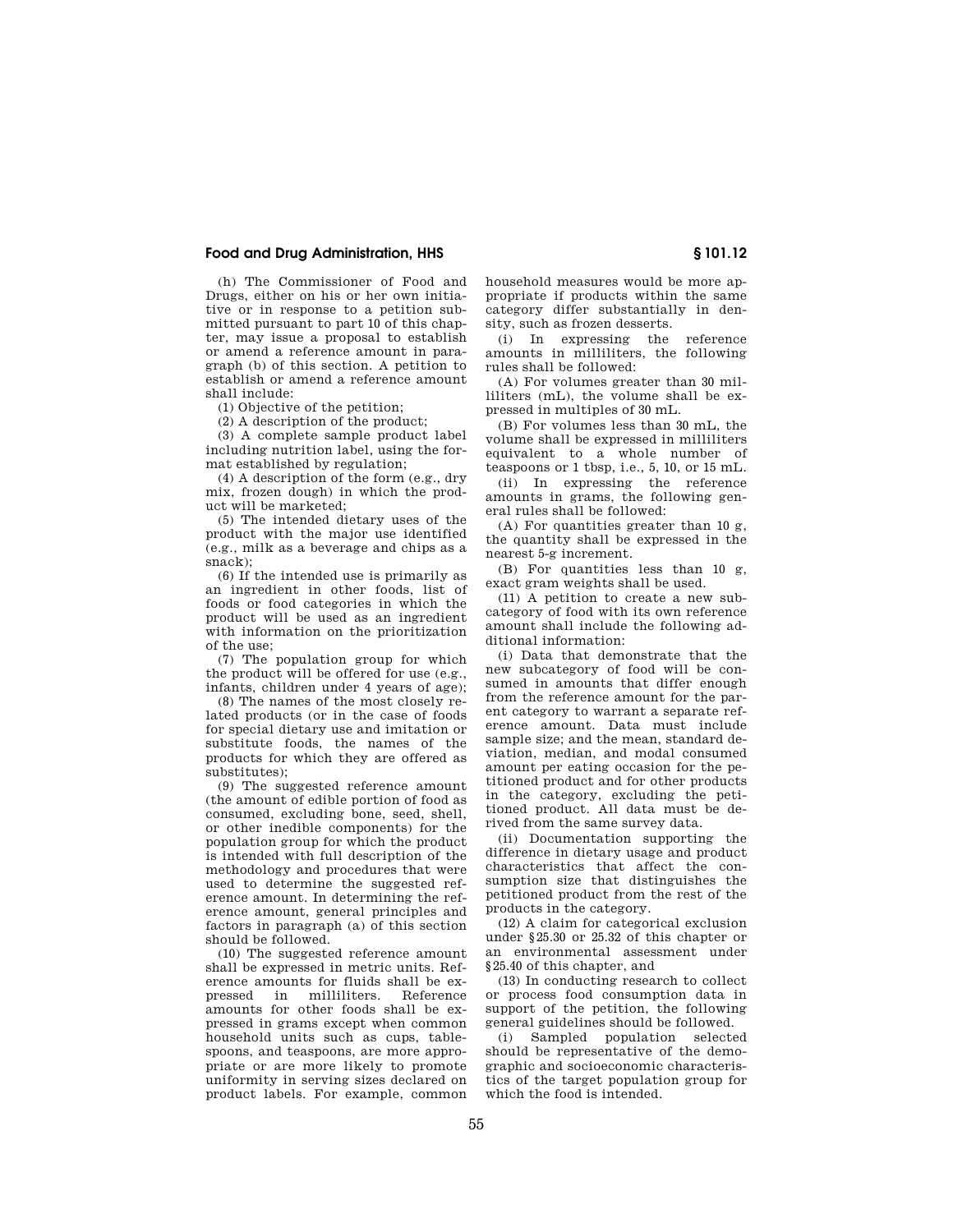(h) The Commissioner of Food and Drugs, either on his or her own initiative or in response to a petition submitted pursuant to part 10 of this chapter, may issue a proposal to establish or amend a reference amount in paragraph (b) of this section. A petition to establish or amend a reference amount shall include:

(1) Objective of the petition;

(2) A description of the product;

(3) A complete sample product label including nutrition label, using the format established by regulation;

(4) A description of the form (e.g., dry mix, frozen dough) in which the product will be marketed;

(5) The intended dietary uses of the product with the major use identified (e.g., milk as a beverage and chips as a snack);

(6) If the intended use is primarily as an ingredient in other foods, list of foods or food categories in which the product will be used as an ingredient with information on the prioritization of the use;

(7) The population group for which the product will be offered for use (e.g., infants, children under 4 years of age);

(8) The names of the most closely related products (or in the case of foods for special dietary use and imitation or substitute foods, the names of the products for which they are offered as substitutes);

(9) The suggested reference amount (the amount of edible portion of food as consumed, excluding bone, seed, shell, or other inedible components) for the population group for which the product is intended with full description of the methodology and procedures that were used to determine the suggested reference amount. In determining the reference amount, general principles and factors in paragraph (a) of this section should be followed.

(10) The suggested reference amount shall be expressed in metric units. Reference amounts for fluids shall be ex-<br>pressed in milliliters. Reference in milliliters. amounts for other foods shall be expressed in grams except when common household units such as cups, tablespoons, and teaspoons, are more appropriate or are more likely to promote uniformity in serving sizes declared on product labels. For example, common

household measures would be more appropriate if products within the same category differ substantially in density, such as frozen desserts.

(i) In expressing the reference amounts in milliliters, the following rules shall be followed:

(A) For volumes greater than 30 milliliters (mL), the volume shall be expressed in multiples of 30 mL.

(B) For volumes less than 30 mL, the volume shall be expressed in milliliters equivalent to a whole number of teaspoons or 1 tbsp, i.e., 5, 10, or 15 mL.

(ii) In expressing the reference amounts in grams, the following general rules shall be followed:

(A) For quantities greater than 10 g, the quantity shall be expressed in the nearest 5-g increment.

(B) For quantities less than 10 g, exact gram weights shall be used.

(11) A petition to create a new subcategory of food with its own reference amount shall include the following additional information:

(i) Data that demonstrate that the new subcategory of food will be consumed in amounts that differ enough from the reference amount for the parent category to warrant a separate reference amount. Data must include sample size; and the mean, standard deviation, median, and modal consumed amount per eating occasion for the petitioned product and for other products in the category, excluding the petitioned product. All data must be derived from the same survey data.

(ii) Documentation supporting the difference in dietary usage and product characteristics that affect the consumption size that distinguishes the petitioned product from the rest of the products in the category.

(12) A claim for categorical exclusion under §25.30 or 25.32 of this chapter or an environmental assessment under §25.40 of this chapter, and

(13) In conducting research to collect or process food consumption data in support of the petition, the following general guidelines should be followed.

(i) Sampled population selected should be representative of the demographic and socioeconomic characteristics of the target population group for which the food is intended.